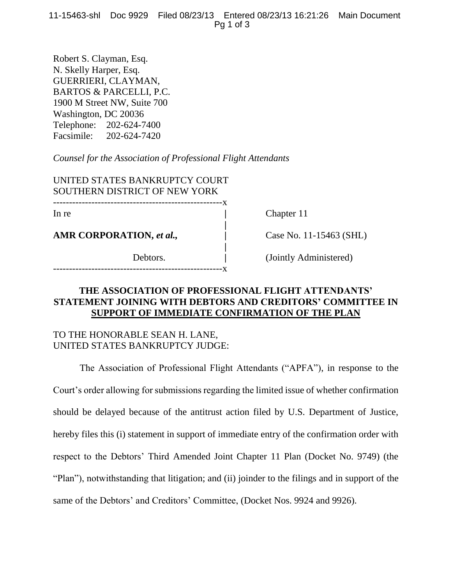11-15463-shl Doc 9929 Filed 08/23/13 Entered 08/23/13 16:21:26 Main Document Pg 1 of 3

Robert S. Clayman, Esq. N. Skelly Harper, Esq. GUERRIERI, CLAYMAN, BARTOS & PARCELLI, P.C. 1900 M Street NW, Suite 700 Washington, DC 20036 Telephone: 202-624-7400 Facsimile: 202-624-7420

*Counsel for the Association of Professional Flight Attendants*

UNITED STATES BANKRUPTCY COURT SOUTHERN DISTRICT OF NEW YORK -----------------------------------------------------x

**AMR CORPORATION,** *et al.,* **|** Case No. 11-15463 (SHL)

In re **chapter 11** 

Debtors. **|** (Jointly Administered)

## **THE ASSOCIATION OF PROFESSIONAL FLIGHT ATTENDANTS' STATEMENT JOINING WITH DEBTORS AND CREDITORS' COMMITTEE IN SUPPORT OF IMMEDIATE CONFIRMATION OF THE PLAN**

 **|**

**|**

-----------------------------------------------------x

## TO THE HONORABLE SEAN H. LANE, UNITED STATES BANKRUPTCY JUDGE:

The Association of Professional Flight Attendants ("APFA"), in response to the Court's order allowing for submissions regarding the limited issue of whether confirmation should be delayed because of the antitrust action filed by U.S. Department of Justice, hereby files this (i) statement in support of immediate entry of the confirmation order with respect to the Debtors' Third Amended Joint Chapter 11 Plan (Docket No. 9749) (the "Plan"), notwithstanding that litigation; and (ii) joinder to the filings and in support of the same of the Debtors' and Creditors' Committee, (Docket Nos. 9924 and 9926).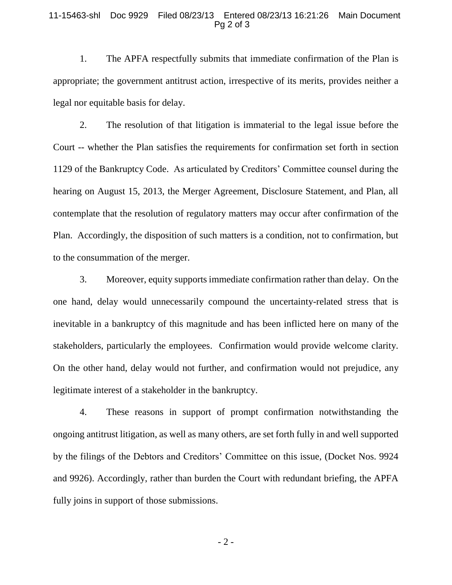## 11-15463-shl Doc 9929 Filed 08/23/13 Entered 08/23/13 16:21:26 Main Document Pg 2 of 3

1. The APFA respectfully submits that immediate confirmation of the Plan is appropriate; the government antitrust action, irrespective of its merits, provides neither a legal nor equitable basis for delay.

2. The resolution of that litigation is immaterial to the legal issue before the Court -- whether the Plan satisfies the requirements for confirmation set forth in section 1129 of the Bankruptcy Code. As articulated by Creditors' Committee counsel during the hearing on August 15, 2013, the Merger Agreement, Disclosure Statement, and Plan, all contemplate that the resolution of regulatory matters may occur after confirmation of the Plan. Accordingly, the disposition of such matters is a condition, not to confirmation, but to the consummation of the merger.

3. Moreover, equity supports immediate confirmation rather than delay. On the one hand, delay would unnecessarily compound the uncertainty-related stress that is inevitable in a bankruptcy of this magnitude and has been inflicted here on many of the stakeholders, particularly the employees. Confirmation would provide welcome clarity. On the other hand, delay would not further, and confirmation would not prejudice, any legitimate interest of a stakeholder in the bankruptcy.

4. These reasons in support of prompt confirmation notwithstanding the ongoing antitrust litigation, as well as many others, are set forth fully in and well supported by the filings of the Debtors and Creditors' Committee on this issue, (Docket Nos. 9924 and 9926). Accordingly, rather than burden the Court with redundant briefing, the APFA fully joins in support of those submissions.

- 2 -